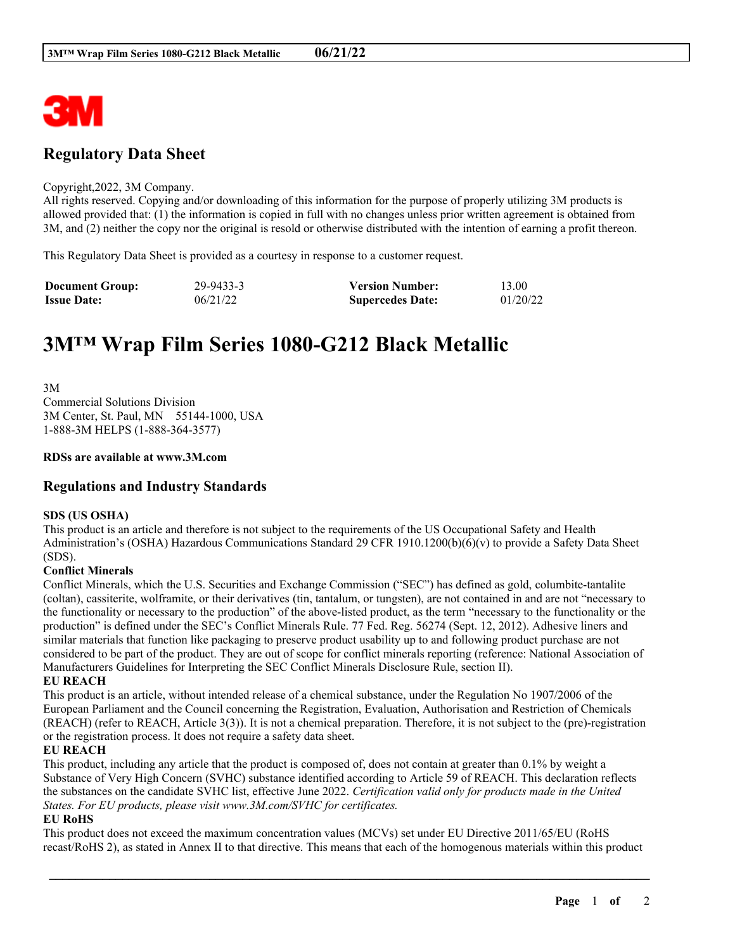

# **Regulatory Data Sheet**

#### Copyright,2022, 3M Company.

All rights reserved. Copying and/or downloading of this information for the purpose of properly utilizing 3M products is allowed provided that: (1) the information is copied in full with no changes unless prior written agreement is obtained from 3M, and (2) neither the copy nor the original is resold or otherwise distributed with the intention of earning a profit thereon.

This Regulatory Data Sheet is provided as a courtesy in response to a customer request.

| <b>Document Group:</b> | 29-9433-3 | <b>Version Number:</b>  | 13.00    |
|------------------------|-----------|-------------------------|----------|
| <b>Issue Date:</b>     | 06/21/22  | <b>Supercedes Date:</b> | 01/20/22 |

# **3M™ Wrap Film Series 1080-G212 Black Metallic**

3M Commercial Solutions Division 3M Center, St. Paul, MN 55144-1000, USA 1-888-3M HELPS (1-888-364-3577)

#### **RDSs are available at www.3M.com**

# **Regulations and Industry Standards**

# **SDS (US OSHA)**

This product is an article and therefore is not subject to the requirements of the US Occupational Safety and Health Administration's (OSHA) Hazardous Communications Standard 29 CFR 1910.1200(b)(6)(v) to provide a Safety Data Sheet (SDS).

# **Conflict Minerals**

Conflict Minerals, which the U.S. Securities and Exchange Commission ("SEC") has defined as gold, columbite-tantalite (coltan), cassiterite, wolframite, or their derivatives (tin, tantalum, or tungsten), are not contained in and are not "necessary to the functionality or necessary to the production" of the above-listed product, as the term "necessary to the functionality or the production" is defined under the SEC's Conflict Minerals Rule. 77 Fed. Reg. 56274 (Sept. 12, 2012). Adhesive liners and similar materials that function like packaging to preserve product usability up to and following product purchase are not considered to be part of the product. They are out of scope for conflict minerals reporting (reference: National Association of Manufacturers Guidelines for Interpreting the SEC Conflict Minerals Disclosure Rule, section II).

#### **EU REACH**

This product is an article, without intended release of a chemical substance, under the Regulation No 1907/2006 of the European Parliament and the Council concerning the Registration, Evaluation, Authorisation and Restriction of Chemicals (REACH) (refer to REACH, Article 3(3)). It is not a chemical preparation. Therefore, it is not subject to the (pre)-registration or the registration process. It does not require a safety data sheet.

#### **EU REACH**

This product, including any article that the product is composed of, does not contain at greater than 0.1% by weight a Substance of Very High Concern (SVHC) substance identified according to Article 59 of REACH. This declaration reflects the substances on the candidate SVHC list, effective June 2022. *Certification valid only for products made in the United States. For EU products, please visit www.3M.com/SVHC for certificates.*

# **EU RoHS**

This product does not exceed the maximum concentration values (MCVs) set under EU Directive 2011/65/EU (RoHS recast/RoHS 2), as stated in Annex II to that directive. This means that each of the homogenous materials within this product

\_\_\_\_\_\_\_\_\_\_\_\_\_\_\_\_\_\_\_\_\_\_\_\_\_\_\_\_\_\_\_\_\_\_\_\_\_\_\_\_\_\_\_\_\_\_\_\_\_\_\_\_\_\_\_\_\_\_\_\_\_\_\_\_\_\_\_\_\_\_\_\_\_\_\_\_\_\_\_\_\_\_\_\_\_\_\_\_\_\_